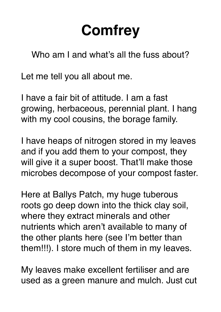## **Comfrey**

Who am I and what's all the fuss about?

Let me tell you all about me.

I have a fair bit of attitude. I am a fast growing, herbaceous, perennial plant. I hang with my cool cousins, the borage family.

I have heaps of nitrogen stored in my leaves and if you add them to your compost, they will give it a super boost. That'll make those microbes decompose of your compost faster.

Here at Ballys Patch, my huge tuberous roots go deep down into the thick clay soil, where they extract minerals and other nutrients which aren't available to many of the other plants here (see I'm better than them!!!). I store much of them in my leaves.

My leaves make excellent fertiliser and are used as a green manure and mulch. Just cut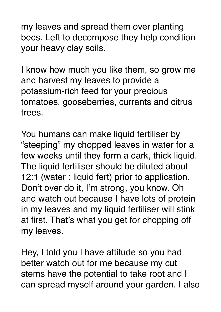my leaves and spread them over planting beds. Left to decompose they help condition your heavy clay soils.

I know how much you like them, so grow me and harvest my leaves to provide a potassium-rich feed for your precious tomatoes, gooseberries, currants and citrus trees.

You humans can make liquid fertiliser by "steeping" my chopped leaves in water for a few weeks until they form a dark, thick liquid. The liquid fertiliser should be diluted about 12:1 (water : liquid fert) prior to application. Don't over do it, I'm strong, you know. Oh and watch out because I have lots of protein in my leaves and my liquid fertiliser will stink at first. That's what you get for chopping off my leaves.

Hey, I told you I have attitude so you had better watch out for me because my cut stems have the potential to take root and I can spread myself around your garden. I also